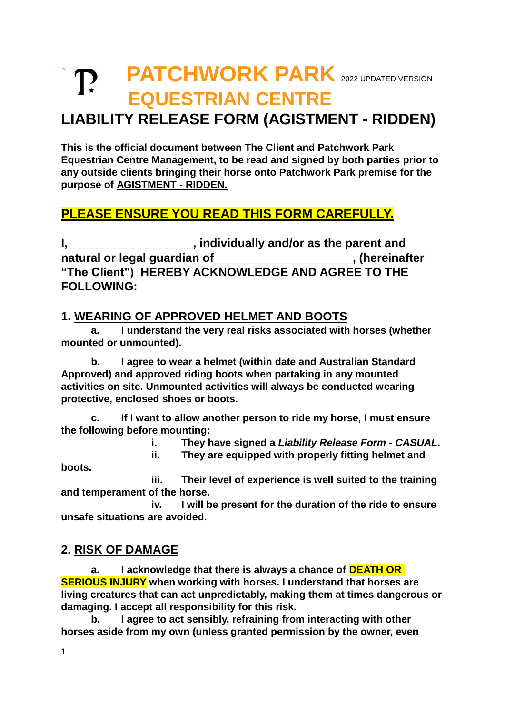# **T. PATCHWORK PARK** 2022 UPDATED VERSION **EQUESTRIAN CENTRE**

### **LIABILITY RELEASE FORM (AGISTMENT - RIDDEN)**

**This is the official document between The Client and Patchwork Park Equestrian Centre Management, to be read and signed by both parties prior to any outside clients bringing their horse onto Patchwork Park premise for the purpose of AGISTMENT - RIDDEN.**

#### **PLEASE ENSURE YOU READ THIS FORM CAREFULLY.**

**I,\_\_\_\_\_\_\_\_\_\_\_\_\_\_\_\_\_\_\_, individually and/or as the parent and natural or legal guardian of\_\_\_\_\_\_\_\_\_\_\_\_\_\_\_\_\_\_\_\_\_, (hereinafter "The Client") HEREBY ACKNOWLEDGE AND AGREE TO THE FOLLOWING:**

#### **1. WEARING OF APPROVED HELMET AND BOOTS**

**a. I understand the very real risks associated with horses (whether mounted or unmounted).** 

**b. I agree to wear a helmet (within date and Australian Standard Approved) and approved riding boots when partaking in any mounted activities on site. Unmounted activities will always be conducted wearing protective, enclosed shoes or boots.** 

**c. If I want to allow another person to ride my horse, I must ensure the following before mounting:**

**i. They have signed a** *Liability Release Form - CASUAL***.**

**ii. They are equipped with properly fitting helmet and** 

**iii. Their level of experience is well suited to the training and temperament of the horse.**

**iv. I will be present for the duration of the ride to ensure unsafe situations are avoided.**

#### **2. RISK OF DAMAGE**

**a. I acknowledge that there is always a chance of DEATH OR SERIOUS INJURY when working with horses. I understand that horses are living creatures that can act unpredictably, making them at times dangerous or damaging. I accept all responsibility for this risk.**

**b. I agree to act sensibly, refraining from interacting with other horses aside from my own (unless granted permission by the owner, even** 

**boots.**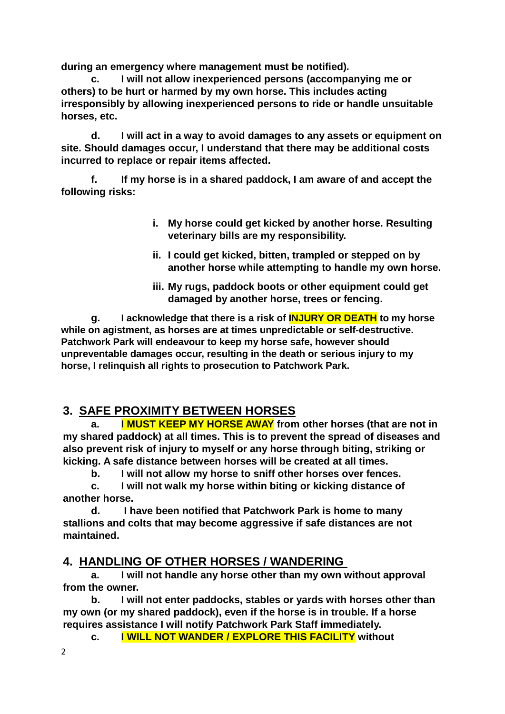**during an emergency where management must be notified).** 

**c. I will not allow inexperienced persons (accompanying me or others) to be hurt or harmed by my own horse. This includes acting irresponsibly by allowing inexperienced persons to ride or handle unsuitable horses, etc.** 

**d. I will act in a way to avoid damages to any assets or equipment on site. Should damages occur, I understand that there may be additional costs incurred to replace or repair items affected.**

**f. If my horse is in a shared paddock, I am aware of and accept the following risks:**

- **i. My horse could get kicked by another horse. Resulting veterinary bills are my responsibility.**
- **ii. I could get kicked, bitten, trampled or stepped on by another horse while attempting to handle my own horse.**
- **iii. My rugs, paddock boots or other equipment could get damaged by another horse, trees or fencing.**

**g. I acknowledge that there is a risk of INJURY OR DEATH to my horse while on agistment, as horses are at times unpredictable or self-destructive. Patchwork Park will endeavour to keep my horse safe, however should unpreventable damages occur, resulting in the death or serious injury to my horse, I relinquish all rights to prosecution to Patchwork Park.**

#### **3. SAFE PROXIMITY BETWEEN HORSES**

**a. I MUST KEEP MY HORSE AWAY from other horses (that are not in my shared paddock) at all times. This is to prevent the spread of diseases and also prevent risk of injury to myself or any horse through biting, striking or kicking. A safe distance between horses will be created at all times.** 

**b. I will not allow my horse to sniff other horses over fences.**

**c. I will not walk my horse within biting or kicking distance of another horse.**

**d. I have been notified that Patchwork Park is home to many stallions and colts that may become aggressive if safe distances are not maintained.**

#### **4. HANDLING OF OTHER HORSES / WANDERING**

**a. I will not handle any horse other than my own without approval from the owner.**

**b. I will not enter paddocks, stables or yards with horses other than my own (or my shared paddock), even if the horse is in trouble. If a horse requires assistance I will notify Patchwork Park Staff immediately.** 

**c. I WILL NOT WANDER / EXPLORE THIS FACILITY without**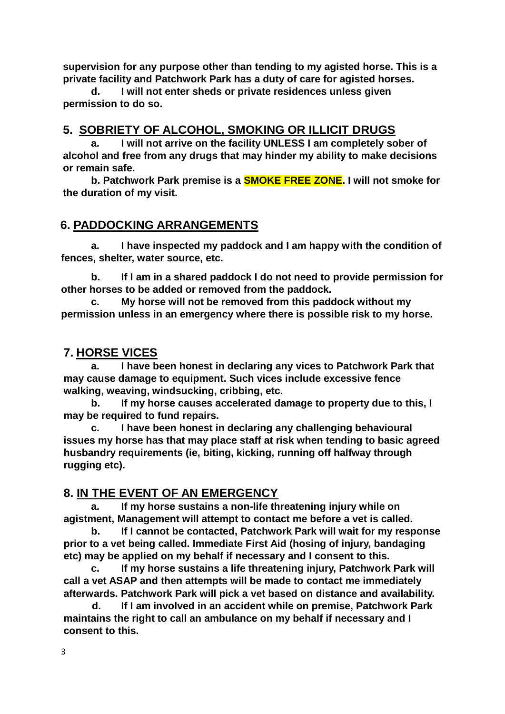**supervision for any purpose other than tending to my agisted horse. This is a private facility and Patchwork Park has a duty of care for agisted horses.** 

**d. I will not enter sheds or private residences unless given permission to do so.**

#### **5. SOBRIETY OF ALCOHOL, SMOKING OR ILLICIT DRUGS**

**a. I will not arrive on the facility UNLESS I am completely sober of alcohol and free from any drugs that may hinder my ability to make decisions or remain safe.**

**b. Patchwork Park premise is a SMOKE FREE ZONE. I will not smoke for the duration of my visit.**

#### **6. PADDOCKING ARRANGEMENTS**

**a. I have inspected my paddock and I am happy with the condition of fences, shelter, water source, etc.**

**b. If I am in a shared paddock I do not need to provide permission for other horses to be added or removed from the paddock.**

**c. My horse will not be removed from this paddock without my permission unless in an emergency where there is possible risk to my horse.**

#### **7. HORSE VICES**

**a. I have been honest in declaring any vices to Patchwork Park that may cause damage to equipment. Such vices include excessive fence walking, weaving, windsucking, cribbing, etc.** 

**b. If my horse causes accelerated damage to property due to this, I may be required to fund repairs.**

**c. I have been honest in declaring any challenging behavioural issues my horse has that may place staff at risk when tending to basic agreed husbandry requirements (ie, biting, kicking, running off halfway through rugging etc).**

#### **8. IN THE EVENT OF AN EMERGENCY**

**a. If my horse sustains a non-life threatening injury while on agistment, Management will attempt to contact me before a vet is called.** 

**b. If I cannot be contacted, Patchwork Park will wait for my response prior to a vet being called. Immediate First Aid (hosing of injury, bandaging etc) may be applied on my behalf if necessary and I consent to this.**

**c. If my horse sustains a life threatening injury, Patchwork Park will call a vet ASAP and then attempts will be made to contact me immediately afterwards. Patchwork Park will pick a vet based on distance and availability.**

 **d. If I am involved in an accident while on premise, Patchwork Park maintains the right to call an ambulance on my behalf if necessary and I consent to this.**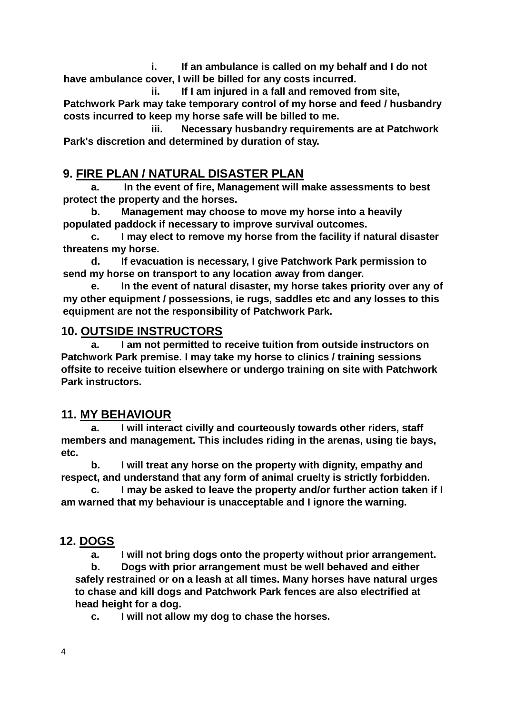**i. If an ambulance is called on my behalf and I do not have ambulance cover, I will be billed for any costs incurred.**

 **ii. If I am injured in a fall and removed from site, Patchwork Park may take temporary control of my horse and feed / husbandry costs incurred to keep my horse safe will be billed to me.**

**iii. Necessary husbandry requirements are at Patchwork Park's discretion and determined by duration of stay.**

#### **9. FIRE PLAN / NATURAL DISASTER PLAN**

**a. In the event of fire, Management will make assessments to best protect the property and the horses.**

**b. Management may choose to move my horse into a heavily populated paddock if necessary to improve survival outcomes.**

**c. I may elect to remove my horse from the facility if natural disaster threatens my horse.**

**d. If evacuation is necessary, I give Patchwork Park permission to send my horse on transport to any location away from danger.**

**e. In the event of natural disaster, my horse takes priority over any of my other equipment / possessions, ie rugs, saddles etc and any losses to this equipment are not the responsibility of Patchwork Park.**

#### **10. OUTSIDE INSTRUCTORS**

**a. I am not permitted to receive tuition from outside instructors on Patchwork Park premise. I may take my horse to clinics / training sessions offsite to receive tuition elsewhere or undergo training on site with Patchwork Park instructors.**

#### **11. MY BEHAVIOUR**

**a. I will interact civilly and courteously towards other riders, staff members and management. This includes riding in the arenas, using tie bays, etc.** 

**b. I will treat any horse on the property with dignity, empathy and respect, and understand that any form of animal cruelty is strictly forbidden.** 

**c. I may be asked to leave the property and/or further action taken if I am warned that my behaviour is unacceptable and I ignore the warning.** 

#### **12. DOGS**

**a. I will not bring dogs onto the property without prior arrangement.**

**b. Dogs with prior arrangement must be well behaved and either safely restrained or on a leash at all times. Many horses have natural urges to chase and kill dogs and Patchwork Park fences are also electrified at head height for a dog.** 

**c. I will not allow my dog to chase the horses.**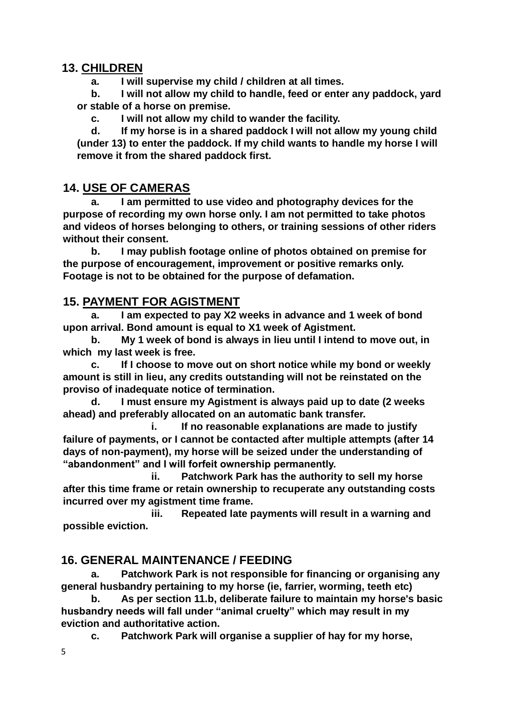#### **13. CHILDREN**

**a. I will supervise my child / children at all times.**

**b. I will not allow my child to handle, feed or enter any paddock, yard or stable of a horse on premise.**

**c. I will not allow my child to wander the facility.**

**d. If my horse is in a shared paddock I will not allow my young child (under 13) to enter the paddock. If my child wants to handle my horse I will remove it from the shared paddock first.**

#### **14. USE OF CAMERAS**

**a. I am permitted to use video and photography devices for the purpose of recording my own horse only. I am not permitted to take photos and videos of horses belonging to others, or training sessions of other riders without their consent.**

**b. I may publish footage online of photos obtained on premise for the purpose of encouragement, improvement or positive remarks only. Footage is not to be obtained for the purpose of defamation.**

#### **15. PAYMENT FOR AGISTMENT**

**a. I am expected to pay X2 weeks in advance and 1 week of bond upon arrival. Bond amount is equal to X1 week of Agistment.**

**b. My 1 week of bond is always in lieu until I intend to move out, in which my last week is free.**

**c. If I choose to move out on short notice while my bond or weekly amount is still in lieu, any credits outstanding will not be reinstated on the proviso of inadequate notice of termination.**

**d. I must ensure my Agistment is always paid up to date (2 weeks ahead) and preferably allocated on an automatic bank transfer.**

**i. If no reasonable explanations are made to justify failure of payments, or I cannot be contacted after multiple attempts (after 14 days of non-payment), my horse will be seized under the understanding of "abandonment" and I will forfeit ownership permanently.**

**ii. Patchwork Park has the authority to sell my horse after this time frame or retain ownership to recuperate any outstanding costs incurred over my agistment time frame.**

**iii. Repeated late payments will result in a warning and possible eviction.**

#### **16. GENERAL MAINTENANCE / FEEDING**

**a. Patchwork Park is not responsible for financing or organising any general husbandry pertaining to my horse (ie, farrier, worming, teeth etc)**

**b. As per section 11.b, deliberate failure to maintain my horse's basic husbandry needs will fall under "animal cruelty" which may result in my eviction and authoritative action.**

**c. Patchwork Park will organise a supplier of hay for my horse,**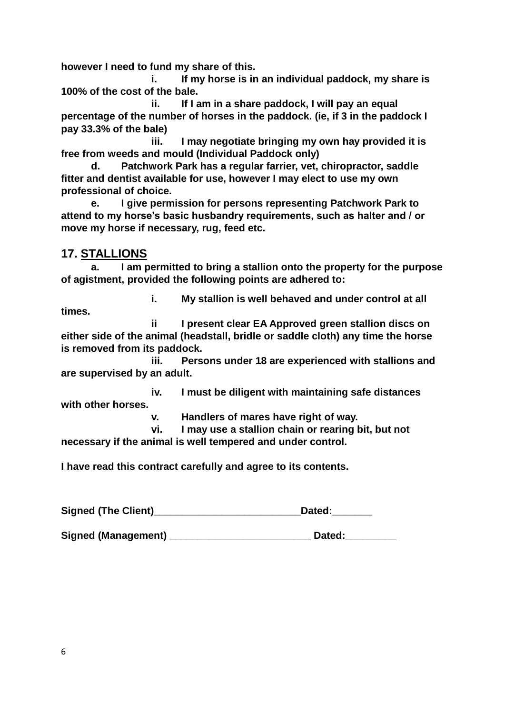**however I need to fund my share of this.** 

**i. If my horse is in an individual paddock, my share is 100% of the cost of the bale.**

**ii. If I am in a share paddock, I will pay an equal percentage of the number of horses in the paddock. (ie, if 3 in the paddock I pay 33.3% of the bale)**

**iii. I may negotiate bringing my own hay provided it is free from weeds and mould (Individual Paddock only)**

**d. Patchwork Park has a regular farrier, vet, chiropractor, saddle fitter and dentist available for use, however I may elect to use my own professional of choice.**

**e. I give permission for persons representing Patchwork Park to attend to my horse's basic husbandry requirements, such as halter and / or move my horse if necessary, rug, feed etc.**

#### **17. STALLIONS**

**a. I am permitted to bring a stallion onto the property for the purpose of agistment, provided the following points are adhered to:**

**times.**

**i. My stallion is well behaved and under control at all** 

**ii I present clear EA Approved green stallion discs on either side of the animal (headstall, bridle or saddle cloth) any time the horse is removed from its paddock.**

**iii. Persons under 18 are experienced with stallions and are supervised by an adult.**

**iv. I must be diligent with maintaining safe distances with other horses.**

**v. Handlers of mares have right of way.**

**vi. I may use a stallion chain or rearing bit, but not necessary if the animal is well tempered and under control.**

**I have read this contract carefully and agree to its contents.**

Signed (The Client)<br> **Signed (The Client)** 

**Signed (Management) \_\_\_\_\_\_\_\_\_\_\_\_\_\_\_\_\_\_\_\_\_\_\_\_\_ Dated:\_\_\_\_\_\_\_\_\_**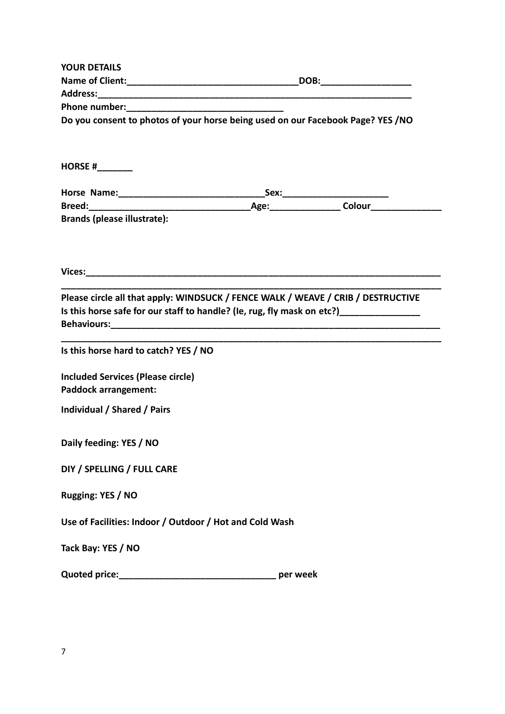| <b>YOUR DETAILS</b>                                                                                                                                                        |                              |
|----------------------------------------------------------------------------------------------------------------------------------------------------------------------------|------------------------------|
|                                                                                                                                                                            | _DOB:_______________________ |
|                                                                                                                                                                            |                              |
|                                                                                                                                                                            |                              |
| Do you consent to photos of your horse being used on our Facebook Page? YES / NO                                                                                           |                              |
|                                                                                                                                                                            |                              |
| HORSE # $\frac{1}{2}$                                                                                                                                                      |                              |
|                                                                                                                                                                            |                              |
|                                                                                                                                                                            |                              |
| <b>Brands (please illustrate):</b>                                                                                                                                         |                              |
|                                                                                                                                                                            |                              |
|                                                                                                                                                                            |                              |
|                                                                                                                                                                            |                              |
| Please circle all that apply: WINDSUCK / FENCE WALK / WEAVE / CRIB / DESTRUCTIVE<br>Is this horse safe for our staff to handle? (Ie, rug, fly mask on etc?) ______________ |                              |
| Is this horse hard to catch? YES / NO                                                                                                                                      |                              |
|                                                                                                                                                                            |                              |
| <b>Included Services (Please circle)</b>                                                                                                                                   |                              |
| <b>Paddock arrangement:</b>                                                                                                                                                |                              |
| Individual / Shared / Pairs                                                                                                                                                |                              |
|                                                                                                                                                                            |                              |
| Daily feeding: YES / NO                                                                                                                                                    |                              |
| DIY / SPELLING / FULL CARE                                                                                                                                                 |                              |
|                                                                                                                                                                            |                              |
| Rugging: YES / NO                                                                                                                                                          |                              |
| Use of Facilities: Indoor / Outdoor / Hot and Cold Wash                                                                                                                    |                              |
| Tack Bay: YES / NO                                                                                                                                                         |                              |
|                                                                                                                                                                            |                              |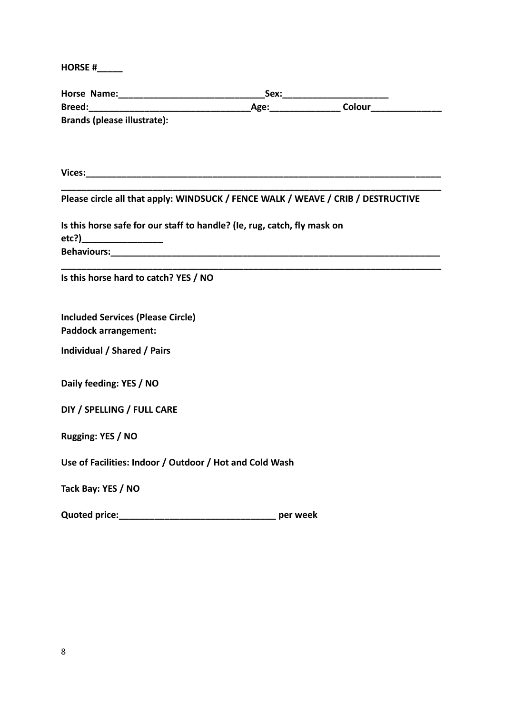**HORSE #\_\_\_\_\_**

| <b>Brands (please illustrate):</b>                                                                     |  |  |  |
|--------------------------------------------------------------------------------------------------------|--|--|--|
|                                                                                                        |  |  |  |
|                                                                                                        |  |  |  |
|                                                                                                        |  |  |  |
| Please circle all that apply: WINDSUCK / FENCE WALK / WEAVE / CRIB / DESTRUCTIVE                       |  |  |  |
| Is this horse safe for our staff to handle? (Ie, rug, catch, fly mask on<br>etc?)_____________________ |  |  |  |
|                                                                                                        |  |  |  |
|                                                                                                        |  |  |  |
| Is this horse hard to catch? YES / NO                                                                  |  |  |  |
|                                                                                                        |  |  |  |
| <b>Included Services (Please Circle)</b>                                                               |  |  |  |
| <b>Paddock arrangement:</b>                                                                            |  |  |  |
| Individual / Shared / Pairs                                                                            |  |  |  |
|                                                                                                        |  |  |  |
| Daily feeding: YES / NO                                                                                |  |  |  |
| DIY / SPELLING / FULL CARE                                                                             |  |  |  |
|                                                                                                        |  |  |  |
| Rugging: YES / NO                                                                                      |  |  |  |
| Use of Facilities: Indoor / Outdoor / Hot and Cold Wash                                                |  |  |  |
|                                                                                                        |  |  |  |
| Tack Bay: YES / NO                                                                                     |  |  |  |
|                                                                                                        |  |  |  |
|                                                                                                        |  |  |  |